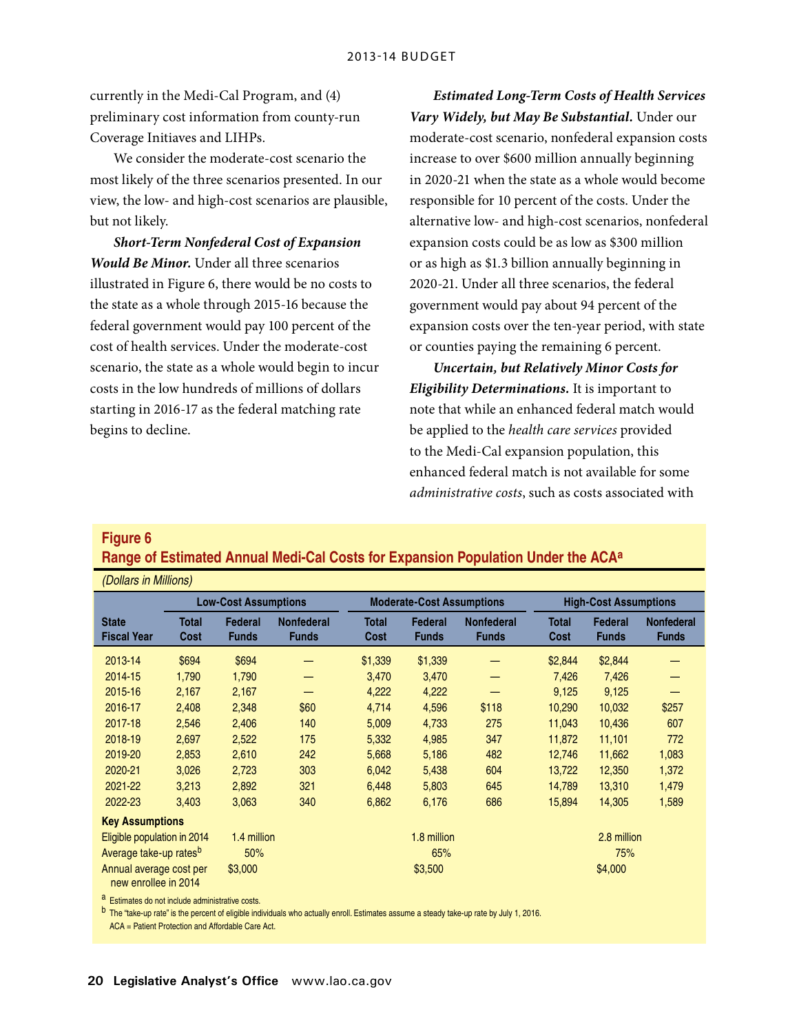currently in the Medi-Cal Program, and (4) preliminary cost information from county-run Coverage Initiaves and LIHPs.

We consider the moderate-cost scenario the most likely of the three scenarios presented. In our view, the low- and high-cost scenarios are plausible, but not likely.

*Short-Term Nonfederal Cost of Expansion Would Be Minor.* Under all three scenarios illustrated in Figure 6, there would be no costs to the state as a whole through 2015-16 because the federal government would pay 100 percent of the cost of health services. Under the moderate-cost scenario, the state as a whole would begin to incur costs in the low hundreds of millions of dollars starting in 2016-17 as the federal matching rate begins to decline.

*Estimated Long-Term Costs of Health Services Vary Widely, but May Be Substantial.* Under our moderate-cost scenario, nonfederal expansion costs increase to over \$600 million annually beginning in 2020-21 when the state as a whole would become responsible for 10 percent of the costs. Under the alternative low- and high-cost scenarios, nonfederal expansion costs could be as low as \$300 million or as high as \$1.3 billion annually beginning in 2020-21. Under all three scenarios, the federal government would pay about 94 percent of the expansion costs over the ten-year period, with state or counties paying the remaining 6 percent.

*Uncertain, but Relatively Minor Costs for Eligibility Determinations.* It is important to note that while an enhanced federal match would be applied to the *health care services* provided to the Medi-Cal expansion population, this enhanced federal match is not available for some *administrative costs*, such as costs associated with

**Figure 6** 

| Range of Estimated Annual Medi-Cal Costs for Expansion Population Under the ACA <sup>a</sup> |
|----------------------------------------------------------------------------------------------|
|----------------------------------------------------------------------------------------------|

| (Dollars in Millions)                           |                             |                                |                                   |                      |                         |                                   |                      |                         |                                   |
|-------------------------------------------------|-----------------------------|--------------------------------|-----------------------------------|----------------------|-------------------------|-----------------------------------|----------------------|-------------------------|-----------------------------------|
|                                                 | <b>Low-Cost Assumptions</b> |                                | <b>Moderate-Cost Assumptions</b>  |                      |                         | <b>High-Cost Assumptions</b>      |                      |                         |                                   |
| <b>State</b><br><b>Fiscal Year</b>              | <b>Total</b><br>Cost        | <b>Federal</b><br><b>Funds</b> | <b>Nonfederal</b><br><b>Funds</b> | <b>Total</b><br>Cost | Federal<br><b>Funds</b> | <b>Nonfederal</b><br><b>Funds</b> | <b>Total</b><br>Cost | Federal<br><b>Funds</b> | <b>Nonfederal</b><br><b>Funds</b> |
| 2013-14                                         | \$694                       | \$694                          |                                   | \$1,339              | \$1,339                 |                                   | \$2,844              | \$2,844                 |                                   |
| 2014-15                                         | 1,790                       | 1,790                          |                                   | 3,470                | 3,470                   |                                   | 7,426                | 7,426                   |                                   |
| 2015-16                                         | 2,167                       | 2,167                          |                                   | 4,222                | 4,222                   |                                   | 9,125                | 9,125                   |                                   |
| 2016-17                                         | 2,408                       | 2,348                          | \$60                              | 4,714                | 4,596                   | \$118                             | 10,290               | 10,032                  | \$257                             |
| 2017-18                                         | 2,546                       | 2,406                          | 140                               | 5,009                | 4,733                   | 275                               | 11,043               | 10,436                  | 607                               |
| 2018-19                                         | 2,697                       | 2,522                          | 175                               | 5,332                | 4,985                   | 347                               | 11,872               | 11,101                  | 772                               |
| 2019-20                                         | 2,853                       | 2,610                          | 242                               | 5,668                | 5,186                   | 482                               | 12,746               | 11,662                  | 1,083                             |
| 2020-21                                         | 3,026                       | 2,723                          | 303                               | 6,042                | 5,438                   | 604                               | 13,722               | 12,350                  | 1,372                             |
| 2021-22                                         | 3,213                       | 2,892                          | 321                               | 6,448                | 5,803                   | 645                               | 14,789               | 13,310                  | 1,479                             |
| 2022-23                                         | 3,403                       | 3,063                          | 340                               | 6,862                | 6,176                   | 686                               | 15,894               | 14,305                  | 1,589                             |
| <b>Key Assumptions</b>                          |                             |                                |                                   |                      |                         |                                   |                      |                         |                                   |
| Eligible population in 2014                     |                             | 1.4 million                    |                                   | 1.8 million          |                         |                                   |                      | 2.8 million             |                                   |
| Average take-up rates <sup>b</sup><br>50%       |                             |                                | 65%                               |                      |                         | 75%                               |                      |                         |                                   |
| Annual average cost per<br>new enrollee in 2014 |                             | \$3,000                        |                                   |                      | \$3,500                 |                                   |                      | \$4,000                 |                                   |

<sup>a</sup> Estimates do not include administrative costs.

<sup>b</sup> The "take-up rate" is the percent of eligible individuals who actually enroll. Estimates assume a steady take-up rate by July 1, 2016. ACA = Patient Protection and Affordable Care Act.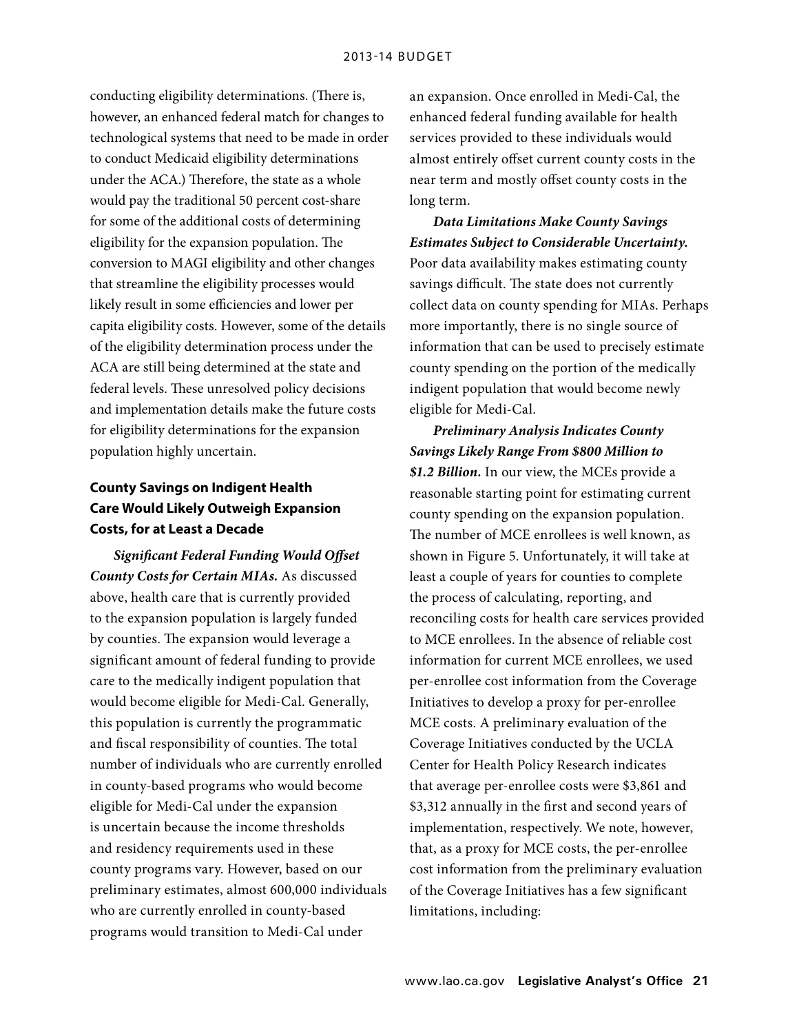conducting eligibility determinations. (There is, however, an enhanced federal match for changes to technological systems that need to be made in order to conduct Medicaid eligibility determinations under the ACA.) Therefore, the state as a whole would pay the traditional 50 percent cost-share for some of the additional costs of determining eligibility for the expansion population. The conversion to MAGI eligibility and other changes that streamline the eligibility processes would likely result in some efficiencies and lower per capita eligibility costs. However, some of the details of the eligibility determination process under the ACA are still being determined at the state and federal levels. These unresolved policy decisions and implementation details make the future costs for eligibility determinations for the expansion population highly uncertain.

## **County Savings on Indigent Health Care Would Likely Outweigh Expansion Costs, for at Least a Decade**

*Significant Federal Funding Would Offset County Costs for Certain MIAs.* As discussed above, health care that is currently provided to the expansion population is largely funded by counties. The expansion would leverage a significant amount of federal funding to provide care to the medically indigent population that would become eligible for Medi-Cal. Generally, this population is currently the programmatic and fiscal responsibility of counties. The total number of individuals who are currently enrolled in county-based programs who would become eligible for Medi-Cal under the expansion is uncertain because the income thresholds and residency requirements used in these county programs vary. However, based on our preliminary estimates, almost 600,000 individuals who are currently enrolled in county-based programs would transition to Medi-Cal under

an expansion. Once enrolled in Medi-Cal, the enhanced federal funding available for health services provided to these individuals would almost entirely offset current county costs in the near term and mostly offset county costs in the long term.

*Data Limitations Make County Savings Estimates Subject to Considerable Uncertainty.* Poor data availability makes estimating county savings difficult. The state does not currently collect data on county spending for MIAs. Perhaps more importantly, there is no single source of information that can be used to precisely estimate county spending on the portion of the medically indigent population that would become newly eligible for Medi-Cal.

*Preliminary Analysis Indicates County Savings Likely Range From \$800 Million to \$1.2 Billion.* In our view, the MCEs provide a reasonable starting point for estimating current county spending on the expansion population. The number of MCE enrollees is well known, as shown in Figure 5. Unfortunately, it will take at least a couple of years for counties to complete the process of calculating, reporting, and reconciling costs for health care services provided to MCE enrollees. In the absence of reliable cost information for current MCE enrollees, we used per-enrollee cost information from the Coverage Initiatives to develop a proxy for per-enrollee MCE costs. A preliminary evaluation of the Coverage Initiatives conducted by the UCLA Center for Health Policy Research indicates that average per-enrollee costs were \$3,861 and \$3,312 annually in the first and second years of implementation, respectively. We note, however, that, as a proxy for MCE costs, the per-enrollee cost information from the preliminary evaluation of the Coverage Initiatives has a few significant limitations, including: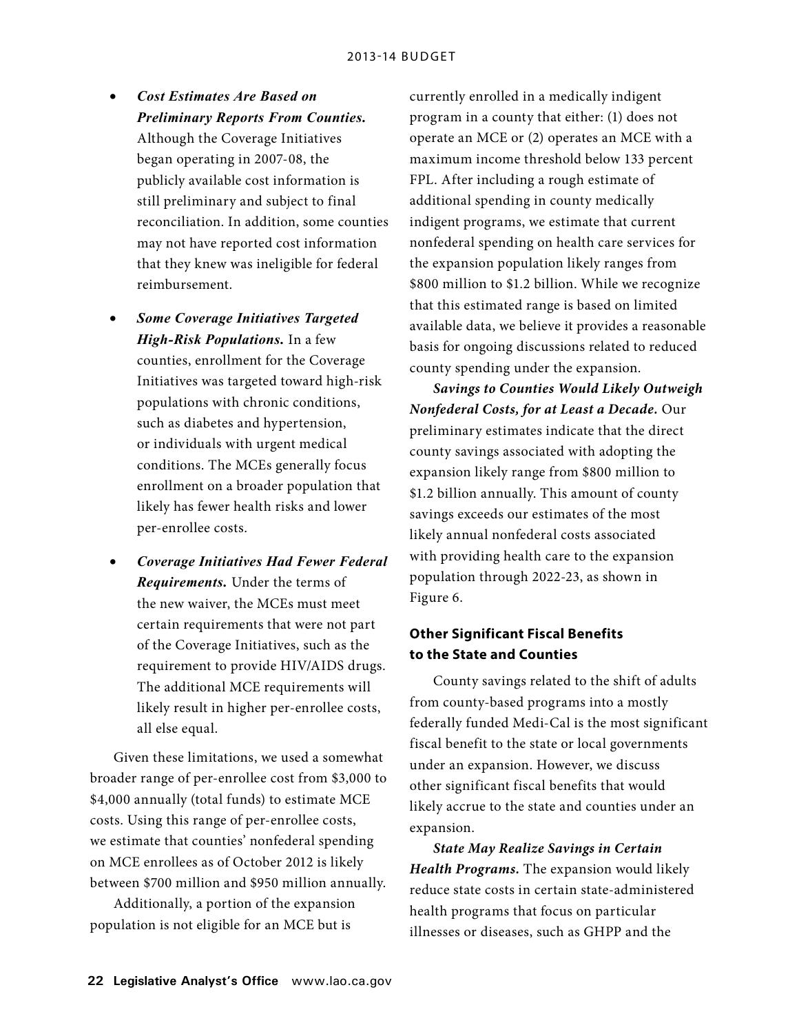- *Cost Estimates Are Based on Preliminary Reports From Counties.* Although the Coverage Initiatives began operating in 2007-08, the publicly available cost information is still preliminary and subject to final reconciliation. In addition, some counties may not have reported cost information that they knew was ineligible for federal reimbursement.
- *Some Coverage Initiatives Targeted High-Risk Populations.* In a few counties, enrollment for the Coverage Initiatives was targeted toward high-risk populations with chronic conditions, such as diabetes and hypertension, or individuals with urgent medical conditions. The MCEs generally focus enrollment on a broader population that likely has fewer health risks and lower per-enrollee costs.
- • *Coverage Initiatives Had Fewer Federal Requirements.* Under the terms of the new waiver, the MCEs must meet certain requirements that were not part of the Coverage Initiatives, such as the requirement to provide HIV/AIDS drugs. The additional MCE requirements will likely result in higher per-enrollee costs, all else equal.

Given these limitations, we used a somewhat broader range of per-enrollee cost from \$3,000 to \$4,000 annually (total funds) to estimate MCE costs. Using this range of per-enrollee costs, we estimate that counties' nonfederal spending on MCE enrollees as of October 2012 is likely between \$700 million and \$950 million annually.

Additionally, a portion of the expansion population is not eligible for an MCE but is

currently enrolled in a medically indigent program in a county that either: (1) does not operate an MCE or (2) operates an MCE with a maximum income threshold below 133 percent FPL. After including a rough estimate of additional spending in county medically indigent programs, we estimate that current nonfederal spending on health care services for the expansion population likely ranges from \$800 million to \$1.2 billion. While we recognize that this estimated range is based on limited available data, we believe it provides a reasonable basis for ongoing discussions related to reduced county spending under the expansion.

*Savings to Counties Would Likely Outweigh Nonfederal Costs, for at Least a Decade.* Our preliminary estimates indicate that the direct county savings associated with adopting the expansion likely range from \$800 million to \$1.2 billion annually. This amount of county savings exceeds our estimates of the most likely annual nonfederal costs associated with providing health care to the expansion population through 2022-23, as shown in Figure 6.

## **Other Significant Fiscal Benefits to the State and Counties**

County savings related to the shift of adults from county-based programs into a mostly federally funded Medi-Cal is the most significant fiscal benefit to the state or local governments under an expansion. However, we discuss other significant fiscal benefits that would likely accrue to the state and counties under an expansion.

*State May Realize Savings in Certain Health Programs.* The expansion would likely reduce state costs in certain state-administered health programs that focus on particular illnesses or diseases, such as GHPP and the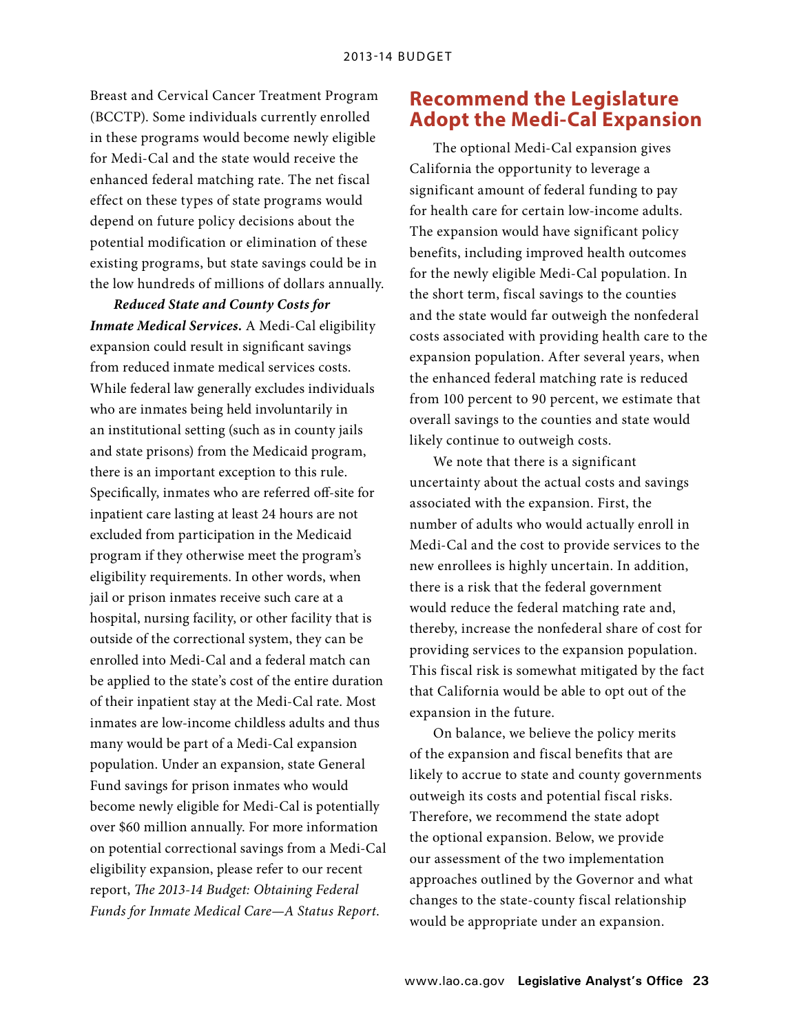Breast and Cervical Cancer Treatment Program (BCCTP). Some individuals currently enrolled in these programs would become newly eligible for Medi-Cal and the state would receive the enhanced federal matching rate. The net fiscal effect on these types of state programs would depend on future policy decisions about the potential modification or elimination of these existing programs, but state savings could be in the low hundreds of millions of dollars annually.

*Reduced State and County Costs for Inmate Medical Services.* A Medi-Cal eligibility expansion could result in significant savings from reduced inmate medical services costs. While federal law generally excludes individuals who are inmates being held involuntarily in an institutional setting (such as in county jails and state prisons) from the Medicaid program, there is an important exception to this rule. Specifically, inmates who are referred off-site for inpatient care lasting at least 24 hours are not excluded from participation in the Medicaid program if they otherwise meet the program's eligibility requirements. In other words, when jail or prison inmates receive such care at a hospital, nursing facility, or other facility that is outside of the correctional system, they can be enrolled into Medi-Cal and a federal match can be applied to the state's cost of the entire duration of their inpatient stay at the Medi-Cal rate. Most inmates are low-income childless adults and thus many would be part of a Medi-Cal expansion population. Under an expansion, state General Fund savings for prison inmates who would become newly eligible for Medi-Cal is potentially over \$60 million annually. For more information on potential correctional savings from a Medi-Cal eligibility expansion, please refer to our recent report, *The 2013-14 Budget: Obtaining Federal Funds for Inmate Medical Care—A Status Report*.

# **Recommend the Legislature Adopt the Medi-Cal Expansion**

The optional Medi-Cal expansion gives California the opportunity to leverage a significant amount of federal funding to pay for health care for certain low-income adults. The expansion would have significant policy benefits, including improved health outcomes for the newly eligible Medi-Cal population. In the short term, fiscal savings to the counties and the state would far outweigh the nonfederal costs associated with providing health care to the expansion population. After several years, when the enhanced federal matching rate is reduced from 100 percent to 90 percent, we estimate that overall savings to the counties and state would likely continue to outweigh costs.

We note that there is a significant uncertainty about the actual costs and savings associated with the expansion. First, the number of adults who would actually enroll in Medi-Cal and the cost to provide services to the new enrollees is highly uncertain. In addition, there is a risk that the federal government would reduce the federal matching rate and, thereby, increase the nonfederal share of cost for providing services to the expansion population. This fiscal risk is somewhat mitigated by the fact that California would be able to opt out of the expansion in the future.

On balance, we believe the policy merits of the expansion and fiscal benefits that are likely to accrue to state and county governments outweigh its costs and potential fiscal risks. Therefore, we recommend the state adopt the optional expansion. Below, we provide our assessment of the two implementation approaches outlined by the Governor and what changes to the state-county fiscal relationship would be appropriate under an expansion.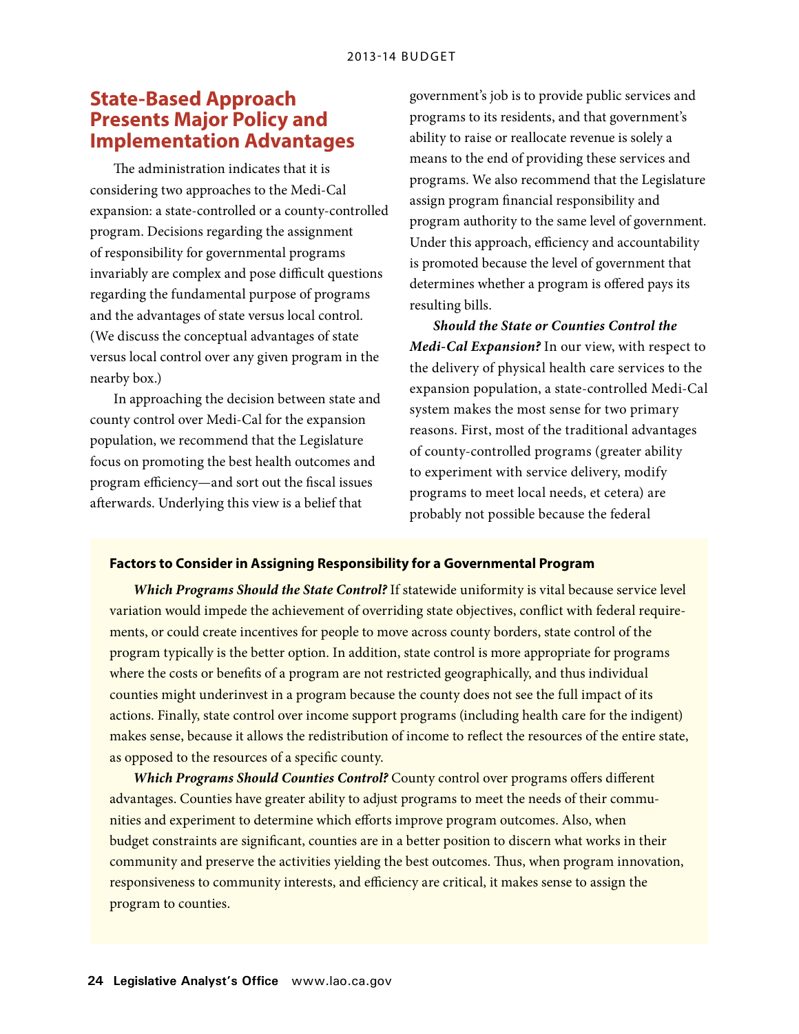## **State-Based Approach Presents Major Policy and Implementation Advantages**

The administration indicates that it is considering two approaches to the Medi-Cal expansion: a state-controlled or a county-controlled program. Decisions regarding the assignment of responsibility for governmental programs invariably are complex and pose difficult questions regarding the fundamental purpose of programs and the advantages of state versus local control. (We discuss the conceptual advantages of state versus local control over any given program in the nearby box.)

In approaching the decision between state and county control over Medi-Cal for the expansion population, we recommend that the Legislature focus on promoting the best health outcomes and program efficiency—and sort out the fiscal issues afterwards. Underlying this view is a belief that

government's job is to provide public services and programs to its residents, and that government's ability to raise or reallocate revenue is solely a means to the end of providing these services and programs. We also recommend that the Legislature assign program financial responsibility and program authority to the same level of government. Under this approach, efficiency and accountability is promoted because the level of government that determines whether a program is offered pays its resulting bills.

*Should the State or Counties Control the Medi-Cal Expansion?* In our view, with respect to the delivery of physical health care services to the expansion population, a state-controlled Medi-Cal system makes the most sense for two primary reasons. First, most of the traditional advantages of county-controlled programs (greater ability to experiment with service delivery, modify programs to meet local needs, et cetera) are probably not possible because the federal

#### **Factors to Consider in Assigning Responsibility for a Governmental Program**

*Which Programs Should the State Control?* If statewide uniformity is vital because service level variation would impede the achievement of overriding state objectives, conflict with federal requirements, or could create incentives for people to move across county borders, state control of the program typically is the better option. In addition, state control is more appropriate for programs where the costs or benefits of a program are not restricted geographically, and thus individual counties might underinvest in a program because the county does not see the full impact of its actions. Finally, state control over income support programs (including health care for the indigent) makes sense, because it allows the redistribution of income to reflect the resources of the entire state, as opposed to the resources of a specific county.

*Which Programs Should Counties Control?* County control over programs offers different advantages. Counties have greater ability to adjust programs to meet the needs of their communities and experiment to determine which efforts improve program outcomes. Also, when budget constraints are significant, counties are in a better position to discern what works in their community and preserve the activities yielding the best outcomes. Thus, when program innovation, responsiveness to community interests, and efficiency are critical, it makes sense to assign the program to counties.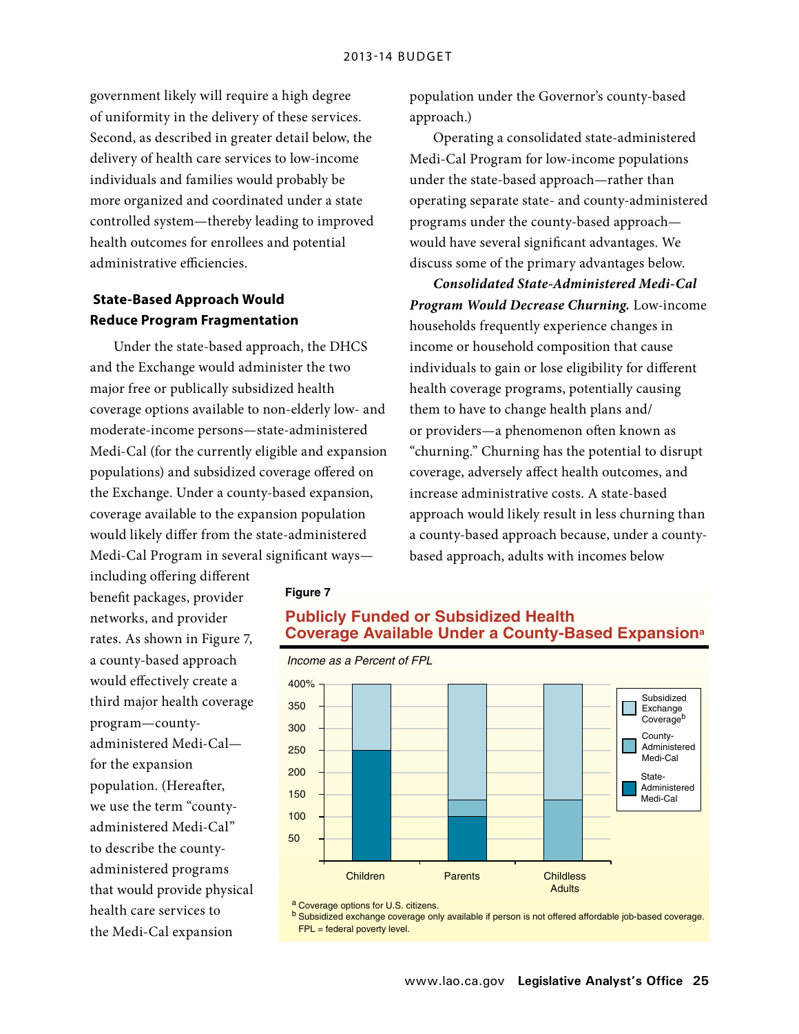government likely will require a high degree of uniformity in the delivery of these services. Second, as described in greater detail below, the delivery of health care services to low-income individuals and families would probably be more organized and coordinated under a state controlled system—thereby leading to improved health outcomes for enrollees and potential administrative efficiencies.

## **State-Based Approach Would Reduce Program Fragmentation**

Under the state-based approach, the DHCS and the Exchange would administer the two major free or publically subsidized health coverage options available to non-elderly low- and moderate-income persons—state-administered Medi-Cal (for the currently eligible and expansion populations) and subsidized coverage offered on the Exchange. Under a county-based expansion, coverage available to the expansion population would likely differ from the state-administered Medi-Cal Program in several significant wayspopulation under the Governor's county-based approach.)

Operating a consolidated state-administered Medi-Cal Program for low-income populations under the state-based approach—rather than operating separate state- and county-administered programs under the county-based approach would have several significant advantages. We discuss some of the primary advantages below.

*Consolidated State-Administered Medi-Cal Program Would Decrease Churning.* Low-income households frequently experience changes in income or household composition that cause individuals to gain or lose eligibility for different health coverage programs, potentially causing them to have to change health plans and/ or providers—a phenomenon often known as "churning." Churning has the potential to disrupt *Director* coverage, adversely affect health outcomes, and increase administrative costs. A state-based approach would likely result in less churning than a county-based approach because, under a countybased approach, adults with incomes below *Secretary*

#### **Figure 7**

including offering different benefit packages, provider networks, and provider rates. As shown in Figure 7, a county-based approach would effectively create a third major health coverage program—countyadministered Medi-Cal for the expansion population. (Hereafter, we use the term "countyadministered Medi-Cal" to describe the countyadministered programs that would provide physical health care services to the Medi-Cal expansion



## **Publicly Funded or Subsidized Health Coverage Available Under a County-Based Expansiona**

FPL = federal poverty level. b Subsidized exchange coverage only available if person is not offered affordable job-based coverage.

a Coverage options for U.S. citizens.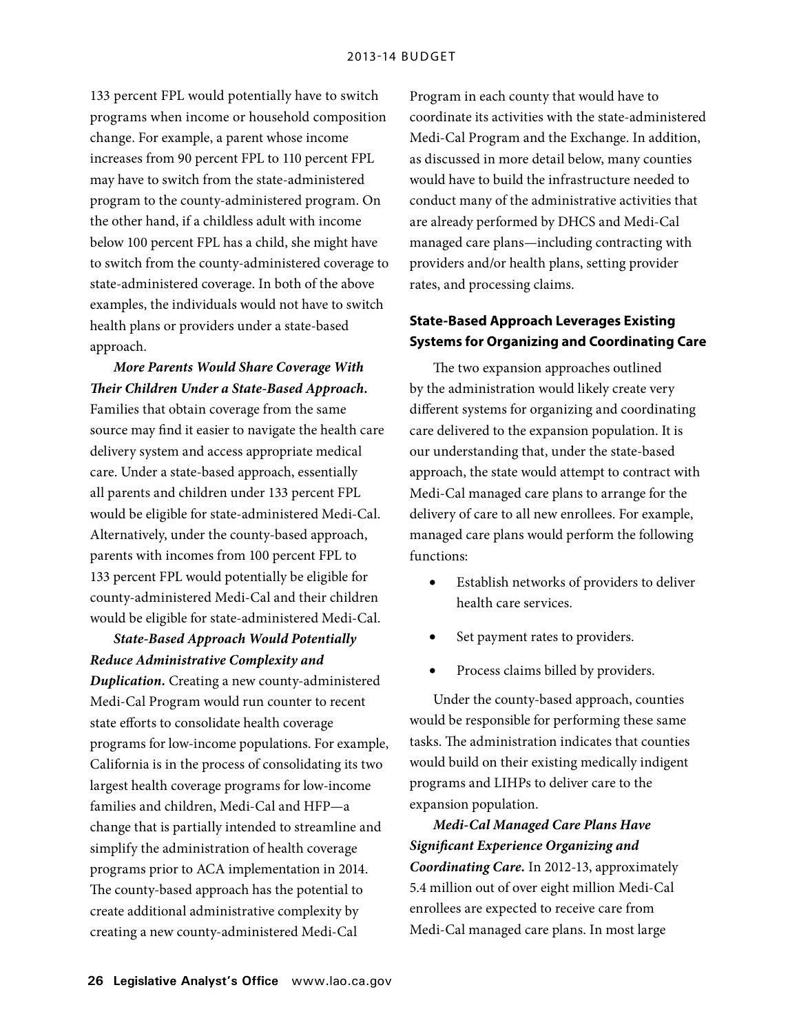133 percent FPL would potentially have to switch programs when income or household composition change. For example, a parent whose income increases from 90 percent FPL to 110 percent FPL may have to switch from the state-administered program to the county-administered program. On the other hand, if a childless adult with income below 100 percent FPL has a child, she might have to switch from the county-administered coverage to state-administered coverage. In both of the above examples, the individuals would not have to switch health plans or providers under a state-based approach.

*More Parents Would Share Coverage With Their Children Under a State-Based Approach.*  Families that obtain coverage from the same source may find it easier to navigate the health care delivery system and access appropriate medical care. Under a state-based approach, essentially all parents and children under 133 percent FPL would be eligible for state-administered Medi-Cal. Alternatively, under the county-based approach, parents with incomes from 100 percent FPL to 133 percent FPL would potentially be eligible for county-administered Medi-Cal and their children would be eligible for state-administered Medi-Cal.

### *State-Based Approach Would Potentially Reduce Administrative Complexity and*

*Duplication.* Creating a new county-administered Medi-Cal Program would run counter to recent state efforts to consolidate health coverage programs for low-income populations. For example, California is in the process of consolidating its two largest health coverage programs for low-income families and children, Medi-Cal and HFP—a change that is partially intended to streamline and simplify the administration of health coverage programs prior to ACA implementation in 2014. The county-based approach has the potential to create additional administrative complexity by creating a new county-administered Medi-Cal

Program in each county that would have to coordinate its activities with the state-administered Medi-Cal Program and the Exchange. In addition, as discussed in more detail below, many counties would have to build the infrastructure needed to conduct many of the administrative activities that are already performed by DHCS and Medi-Cal managed care plans—including contracting with providers and/or health plans, setting provider rates, and processing claims.

## **State-Based Approach Leverages Existing Systems for Organizing and Coordinating Care**

The two expansion approaches outlined by the administration would likely create very different systems for organizing and coordinating care delivered to the expansion population. It is our understanding that, under the state-based approach, the state would attempt to contract with Medi-Cal managed care plans to arrange for the delivery of care to all new enrollees. For example, managed care plans would perform the following functions:

- Establish networks of providers to deliver health care services.
- Set payment rates to providers.
- • Process claims billed by providers.

Under the county-based approach, counties would be responsible for performing these same tasks. The administration indicates that counties would build on their existing medically indigent programs and LIHPs to deliver care to the expansion population.

*Medi-Cal Managed Care Plans Have Significant Experience Organizing and Coordinating Care.* In 2012-13, approximately 5.4 million out of over eight million Medi-Cal enrollees are expected to receive care from Medi-Cal managed care plans. In most large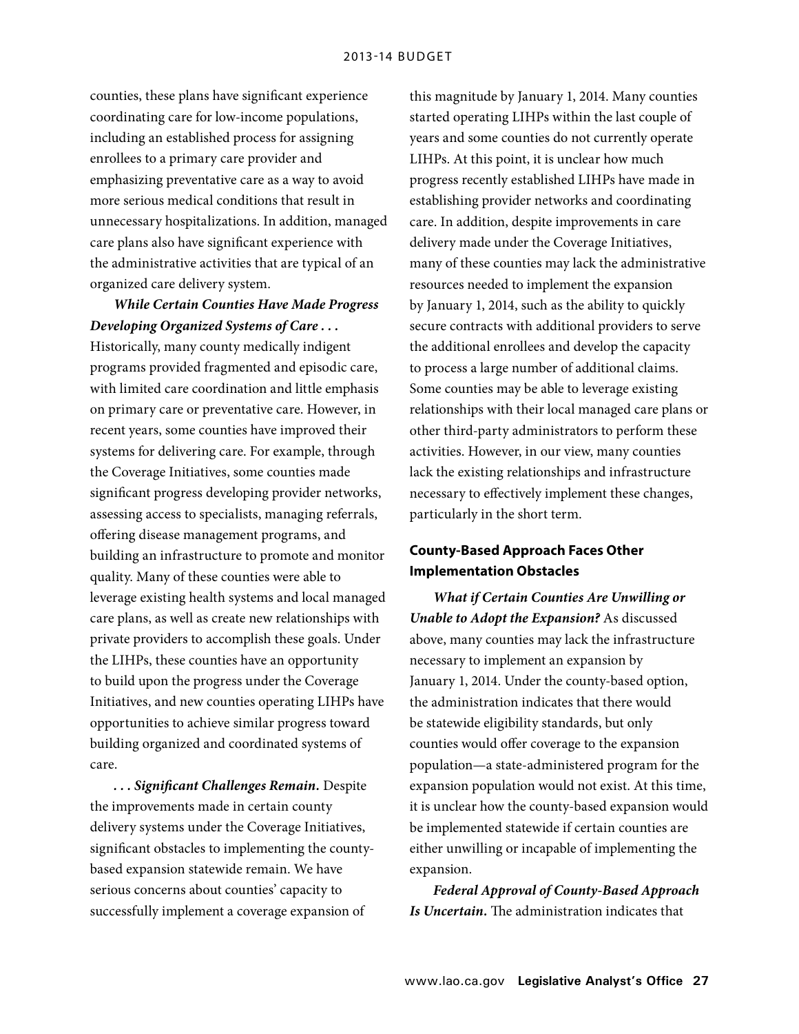counties, these plans have significant experience coordinating care for low-income populations, including an established process for assigning enrollees to a primary care provider and emphasizing preventative care as a way to avoid more serious medical conditions that result in unnecessary hospitalizations. In addition, managed care plans also have significant experience with the administrative activities that are typical of an organized care delivery system.

## *While Certain Counties Have Made Progress Developing Organized Systems of Care . . .*

Historically, many county medically indigent programs provided fragmented and episodic care, with limited care coordination and little emphasis on primary care or preventative care. However, in recent years, some counties have improved their systems for delivering care. For example, through the Coverage Initiatives, some counties made significant progress developing provider networks, assessing access to specialists, managing referrals, offering disease management programs, and building an infrastructure to promote and monitor quality. Many of these counties were able to leverage existing health systems and local managed care plans, as well as create new relationships with private providers to accomplish these goals. Under the LIHPs, these counties have an opportunity to build upon the progress under the Coverage Initiatives, and new counties operating LIHPs have opportunities to achieve similar progress toward building organized and coordinated systems of care.

*. . . Significant Challenges Remain.* Despite the improvements made in certain county delivery systems under the Coverage Initiatives, significant obstacles to implementing the countybased expansion statewide remain. We have serious concerns about counties' capacity to successfully implement a coverage expansion of

this magnitude by January 1, 2014. Many counties started operating LIHPs within the last couple of years and some counties do not currently operate LIHPs. At this point, it is unclear how much progress recently established LIHPs have made in establishing provider networks and coordinating care. In addition, despite improvements in care delivery made under the Coverage Initiatives, many of these counties may lack the administrative resources needed to implement the expansion by January 1, 2014, such as the ability to quickly secure contracts with additional providers to serve the additional enrollees and develop the capacity to process a large number of additional claims. Some counties may be able to leverage existing relationships with their local managed care plans or other third-party administrators to perform these activities. However, in our view, many counties lack the existing relationships and infrastructure necessary to effectively implement these changes, particularly in the short term.

### **County-Based Approach Faces Other Implementation Obstacles**

*What if Certain Counties Are Unwilling or Unable to Adopt the Expansion?* As discussed above, many counties may lack the infrastructure necessary to implement an expansion by January 1, 2014. Under the county-based option, the administration indicates that there would be statewide eligibility standards, but only counties would offer coverage to the expansion population—a state-administered program for the expansion population would not exist. At this time, it is unclear how the county-based expansion would be implemented statewide if certain counties are either unwilling or incapable of implementing the expansion.

*Federal Approval of County-Based Approach Is Uncertain.* The administration indicates that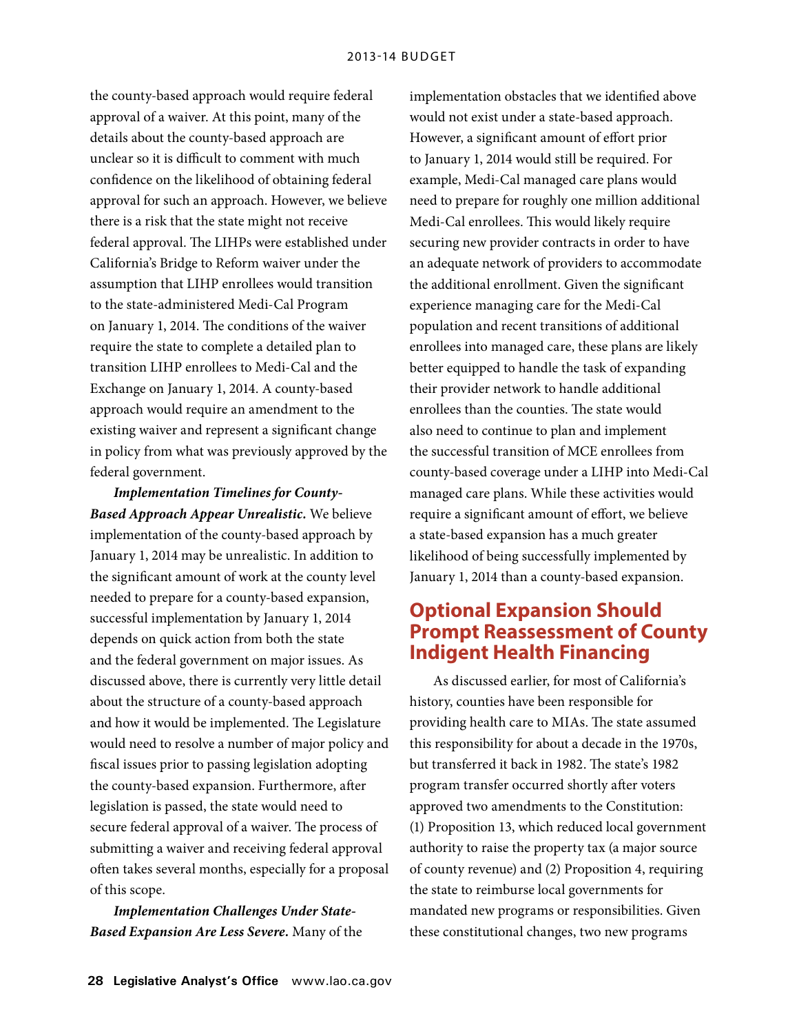the county-based approach would require federal approval of a waiver. At this point, many of the details about the county-based approach are unclear so it is difficult to comment with much confidence on the likelihood of obtaining federal approval for such an approach. However, we believe there is a risk that the state might not receive federal approval. The LIHPs were established under California's Bridge to Reform waiver under the assumption that LIHP enrollees would transition to the state-administered Medi-Cal Program on January 1, 2014. The conditions of the waiver require the state to complete a detailed plan to transition LIHP enrollees to Medi-Cal and the Exchange on January 1, 2014. A county-based approach would require an amendment to the existing waiver and represent a significant change in policy from what was previously approved by the federal government.

*Implementation Timelines for County-Based Approach Appear Unrealistic.* We believe implementation of the county-based approach by January 1, 2014 may be unrealistic. In addition to the significant amount of work at the county level needed to prepare for a county-based expansion, successful implementation by January 1, 2014 depends on quick action from both the state and the federal government on major issues. As discussed above, there is currently very little detail about the structure of a county-based approach and how it would be implemented. The Legislature would need to resolve a number of major policy and fiscal issues prior to passing legislation adopting the county-based expansion. Furthermore, after legislation is passed, the state would need to secure federal approval of a waiver. The process of submitting a waiver and receiving federal approval often takes several months, especially for a proposal of this scope.

*Implementation Challenges Under State-Based Expansion Are Less Severe.* Many of the

implementation obstacles that we identified above would not exist under a state-based approach. However, a significant amount of effort prior to January 1, 2014 would still be required. For example, Medi-Cal managed care plans would need to prepare for roughly one million additional Medi-Cal enrollees. This would likely require securing new provider contracts in order to have an adequate network of providers to accommodate the additional enrollment. Given the significant experience managing care for the Medi-Cal population and recent transitions of additional enrollees into managed care, these plans are likely better equipped to handle the task of expanding their provider network to handle additional enrollees than the counties. The state would also need to continue to plan and implement the successful transition of MCE enrollees from county-based coverage under a LIHP into Medi-Cal managed care plans. While these activities would require a significant amount of effort, we believe a state-based expansion has a much greater likelihood of being successfully implemented by January 1, 2014 than a county-based expansion.

# **Optional Expansion Should Prompt Reassessment of County Indigent Health Financing**

As discussed earlier, for most of California's history, counties have been responsible for providing health care to MIAs. The state assumed this responsibility for about a decade in the 1970s, but transferred it back in 1982. The state's 1982 program transfer occurred shortly after voters approved two amendments to the Constitution: (1) Proposition 13, which reduced local government authority to raise the property tax (a major source of county revenue) and (2) Proposition 4, requiring the state to reimburse local governments for mandated new programs or responsibilities. Given these constitutional changes, two new programs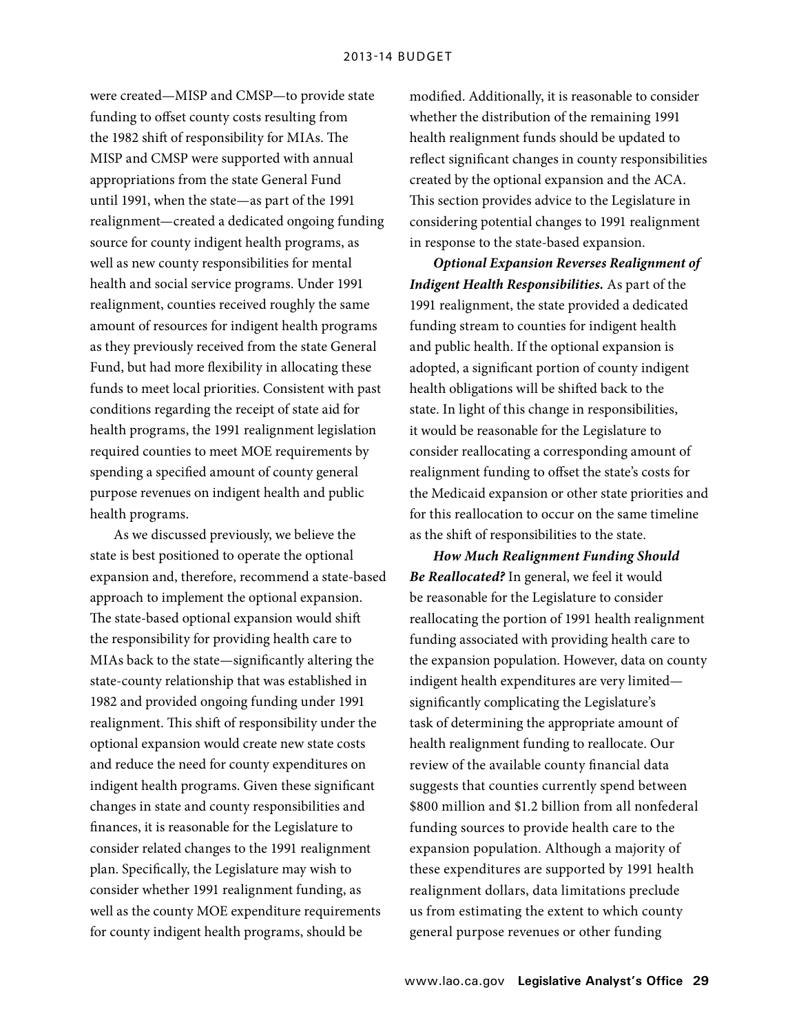were created—MISP and CMSP—to provide state funding to offset county costs resulting from the 1982 shift of responsibility for MIAs. The MISP and CMSP were supported with annual appropriations from the state General Fund until 1991, when the state—as part of the 1991 realignment—created a dedicated ongoing funding source for county indigent health programs, as well as new county responsibilities for mental health and social service programs. Under 1991 realignment, counties received roughly the same amount of resources for indigent health programs as they previously received from the state General Fund, but had more flexibility in allocating these funds to meet local priorities. Consistent with past conditions regarding the receipt of state aid for health programs, the 1991 realignment legislation required counties to meet MOE requirements by spending a specified amount of county general purpose revenues on indigent health and public health programs.

As we discussed previously, we believe the state is best positioned to operate the optional expansion and, therefore, recommend a state-based approach to implement the optional expansion. The state-based optional expansion would shift the responsibility for providing health care to MIAs back to the state—significantly altering the state-county relationship that was established in 1982 and provided ongoing funding under 1991 realignment. This shift of responsibility under the optional expansion would create new state costs and reduce the need for county expenditures on indigent health programs. Given these significant changes in state and county responsibilities and finances, it is reasonable for the Legislature to consider related changes to the 1991 realignment plan. Specifically, the Legislature may wish to consider whether 1991 realignment funding, as well as the county MOE expenditure requirements for county indigent health programs, should be

modified. Additionally, it is reasonable to consider whether the distribution of the remaining 1991 health realignment funds should be updated to reflect significant changes in county responsibilities created by the optional expansion and the ACA. This section provides advice to the Legislature in considering potential changes to 1991 realignment in response to the state-based expansion.

*Optional Expansion Reverses Realignment of Indigent Health Responsibilities.* As part of the 1991 realignment, the state provided a dedicated funding stream to counties for indigent health and public health. If the optional expansion is adopted, a significant portion of county indigent health obligations will be shifted back to the state. In light of this change in responsibilities, it would be reasonable for the Legislature to consider reallocating a corresponding amount of realignment funding to offset the state's costs for the Medicaid expansion or other state priorities and for this reallocation to occur on the same timeline as the shift of responsibilities to the state.

*How Much Realignment Funding Should Be Reallocated?* In general, we feel it would be reasonable for the Legislature to consider reallocating the portion of 1991 health realignment funding associated with providing health care to the expansion population. However, data on county indigent health expenditures are very limited significantly complicating the Legislature's task of determining the appropriate amount of health realignment funding to reallocate. Our review of the available county financial data suggests that counties currently spend between \$800 million and \$1.2 billion from all nonfederal funding sources to provide health care to the expansion population. Although a majority of these expenditures are supported by 1991 health realignment dollars, data limitations preclude us from estimating the extent to which county general purpose revenues or other funding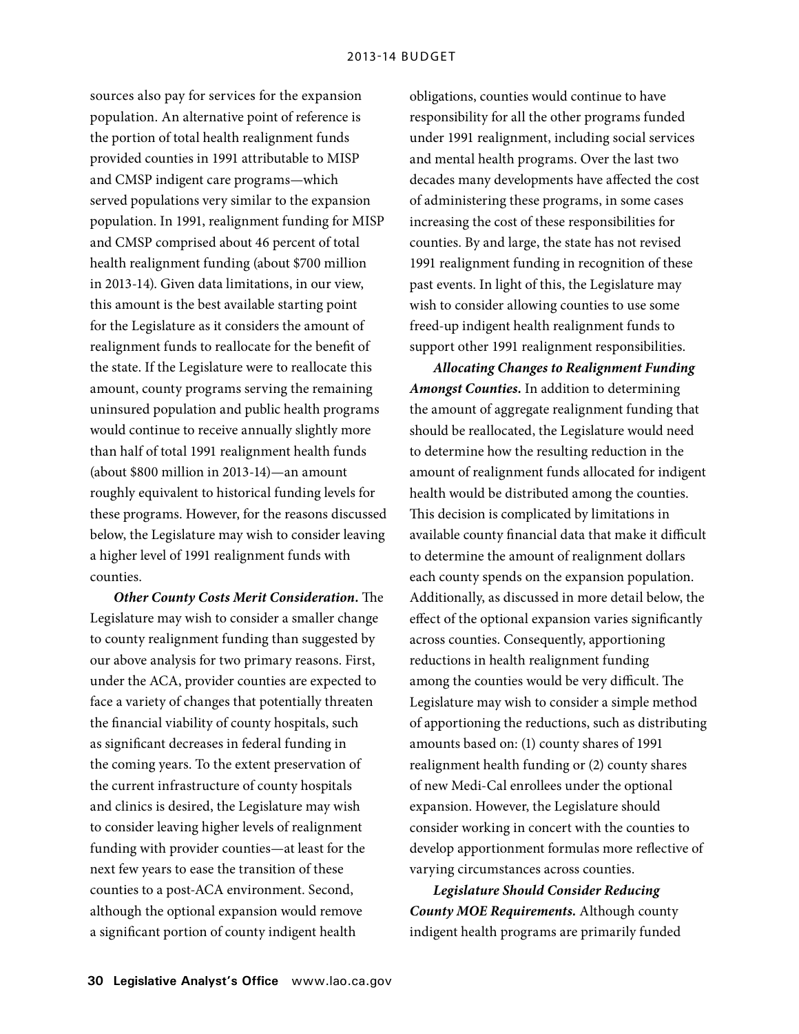sources also pay for services for the expansion population. An alternative point of reference is the portion of total health realignment funds provided counties in 1991 attributable to MISP and CMSP indigent care programs—which served populations very similar to the expansion population. In 1991, realignment funding for MISP and CMSP comprised about 46 percent of total health realignment funding (about \$700 million in 2013-14). Given data limitations, in our view, this amount is the best available starting point for the Legislature as it considers the amount of realignment funds to reallocate for the benefit of the state. If the Legislature were to reallocate this amount, county programs serving the remaining uninsured population and public health programs would continue to receive annually slightly more than half of total 1991 realignment health funds (about \$800 million in 2013-14)—an amount roughly equivalent to historical funding levels for these programs. However, for the reasons discussed below, the Legislature may wish to consider leaving a higher level of 1991 realignment funds with counties.

*Other County Costs Merit Consideration.* The Legislature may wish to consider a smaller change to county realignment funding than suggested by our above analysis for two primary reasons. First, under the ACA, provider counties are expected to face a variety of changes that potentially threaten the financial viability of county hospitals, such as significant decreases in federal funding in the coming years. To the extent preservation of the current infrastructure of county hospitals and clinics is desired, the Legislature may wish to consider leaving higher levels of realignment funding with provider counties—at least for the next few years to ease the transition of these counties to a post-ACA environment. Second, although the optional expansion would remove a significant portion of county indigent health

obligations, counties would continue to have responsibility for all the other programs funded under 1991 realignment, including social services and mental health programs. Over the last two decades many developments have affected the cost of administering these programs, in some cases increasing the cost of these responsibilities for counties. By and large, the state has not revised 1991 realignment funding in recognition of these past events. In light of this, the Legislature may wish to consider allowing counties to use some freed-up indigent health realignment funds to support other 1991 realignment responsibilities.

*Allocating Changes to Realignment Funding Amongst Counties.* In addition to determining the amount of aggregate realignment funding that should be reallocated, the Legislature would need to determine how the resulting reduction in the amount of realignment funds allocated for indigent health would be distributed among the counties. This decision is complicated by limitations in available county financial data that make it difficult to determine the amount of realignment dollars each county spends on the expansion population. Additionally, as discussed in more detail below, the effect of the optional expansion varies significantly across counties. Consequently, apportioning reductions in health realignment funding among the counties would be very difficult. The Legislature may wish to consider a simple method of apportioning the reductions, such as distributing amounts based on: (1) county shares of 1991 realignment health funding or (2) county shares of new Medi-Cal enrollees under the optional expansion. However, the Legislature should consider working in concert with the counties to develop apportionment formulas more reflective of varying circumstances across counties.

*Legislature Should Consider Reducing County MOE Requirements.* Although county indigent health programs are primarily funded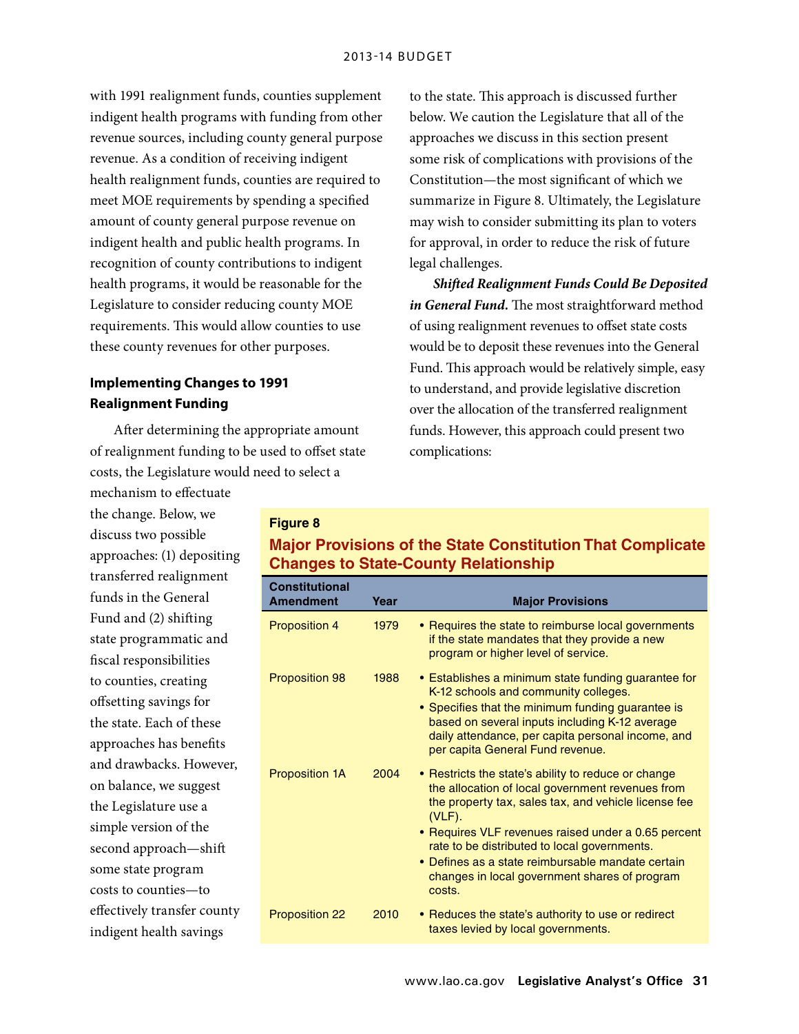with 1991 realignment funds, counties supplement indigent health programs with funding from other revenue sources, including county general purpose revenue. As a condition of receiving indigent health realignment funds, counties are required to meet MOE requirements by spending a specified amount of county general purpose revenue on indigent health and public health programs. In recognition of county contributions to indigent health programs, it would be reasonable for the Legislature to consider reducing county MOE requirements. This would allow counties to use these county revenues for other purposes.

## **Implementing Changes to 1991 Realignment Funding**

After determining the appropriate amount of realignment funding to be used to offset state costs, the Legislature would need to select a

to the state. This approach is discussed further below. We caution the Legislature that all of the approaches we discuss in this section present some risk of complications with provisions of the Constitution—the most significant of which we summarize in Figure 8. Ultimately, the Legislature may wish to consider submitting its plan to voters for approval, in order to reduce the risk of future legal challenges.

*Shifted Realignment Funds Could Be Deposited in General Fund.* The most straightforward method of using realignment revenues to offset state costs would be to deposit these revenues into the General Fund. This approach would be relatively simple, easy to understand, and provide legislative discretion over the allocation of the transferred realignment funds. However, this approach could present two complications:

mechanism to effectuate the change. Below, we discuss two possible approaches: (1) depositing transferred realignment funds in the General Fund and (2) shifting state programmatic and fiscal responsibilities to counties, creating offsetting savings for the state. Each of these approaches has benefits and drawbacks. However, on balance, we suggest the Legislature use a simple version of the second approach—shift some state program costs to counties—to effectively transfer county indigent health savings

#### **Figure 8**

# **Major Provisions of the State Constitution That Complicate Changes to State-County Relationship**

| <b>Constitutional</b><br><b>Amendment</b> | Year | <b>Major Provisions</b>                                                                                                                                                                                                                                                                                                                                                                             |
|-------------------------------------------|------|-----------------------------------------------------------------------------------------------------------------------------------------------------------------------------------------------------------------------------------------------------------------------------------------------------------------------------------------------------------------------------------------------------|
| <b>Proposition 4</b>                      | 1979 | • Requires the state to reimburse local governments<br>if the state mandates that they provide a new<br>program or higher level of service.                                                                                                                                                                                                                                                         |
| <b>Proposition 98</b>                     | 1988 | • Establishes a minimum state funding guarantee for<br>K-12 schools and community colleges.<br>• Specifies that the minimum funding guarantee is<br>based on several inputs including K-12 average<br>daily attendance, per capita personal income, and<br>per capita General Fund revenue.                                                                                                         |
| <b>Proposition 1A</b>                     | 2004 | • Restricts the state's ability to reduce or change<br>the allocation of local government revenues from<br>the property tax, sales tax, and vehicle license fee<br>$(VLF)$ .<br>• Requires VLF revenues raised under a 0.65 percent<br>rate to be distributed to local governments.<br>• Defines as a state reimbursable mandate certain<br>changes in local government shares of program<br>costs. |
| <b>Proposition 22</b>                     | 2010 | • Reduces the state's authority to use or redirect<br>taxes levied by local governments.                                                                                                                                                                                                                                                                                                            |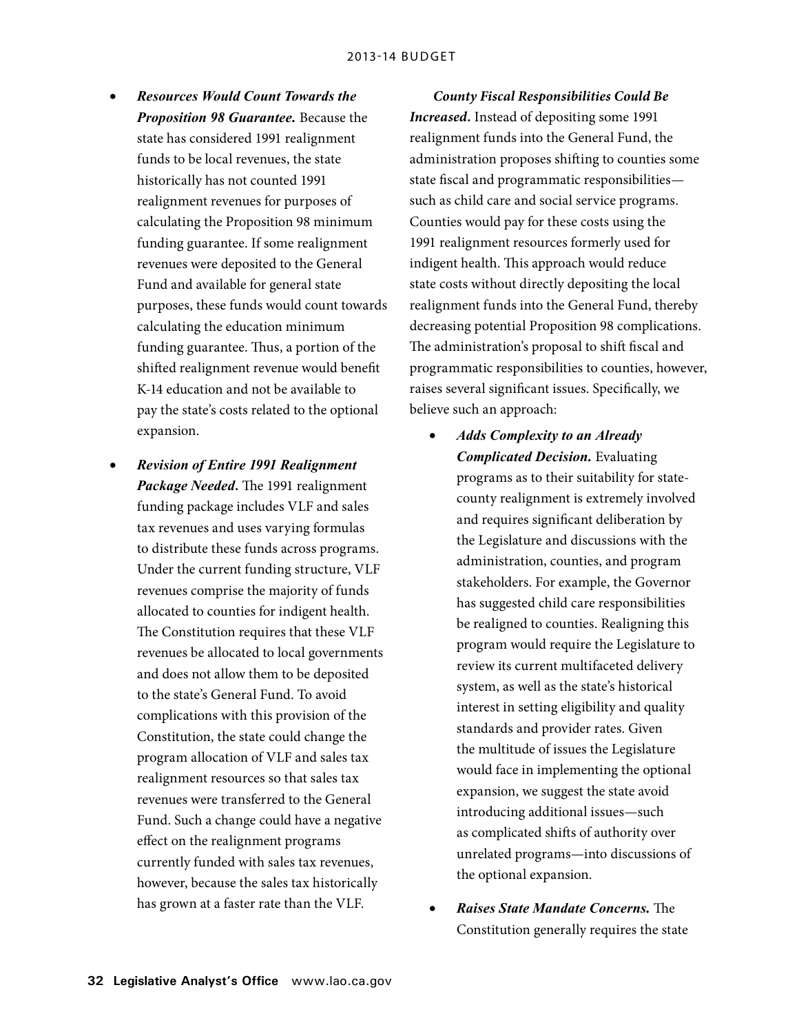- *Resources Would Count Towards the Proposition 98 Guarantee.* Because the state has considered 1991 realignment funds to be local revenues, the state historically has not counted 1991 realignment revenues for purposes of calculating the Proposition 98 minimum funding guarantee. If some realignment revenues were deposited to the General Fund and available for general state purposes, these funds would count towards calculating the education minimum funding guarantee. Thus, a portion of the shifted realignment revenue would benefit K-14 education and not be available to pay the state's costs related to the optional expansion.
- • *Revision of Entire 1991 Realignment Package Needed.* The 1991 realignment funding package includes VLF and sales tax revenues and uses varying formulas to distribute these funds across programs. Under the current funding structure, VLF revenues comprise the majority of funds allocated to counties for indigent health. The Constitution requires that these VLF revenues be allocated to local governments and does not allow them to be deposited to the state's General Fund. To avoid complications with this provision of the Constitution, the state could change the program allocation of VLF and sales tax realignment resources so that sales tax revenues were transferred to the General Fund. Such a change could have a negative effect on the realignment programs currently funded with sales tax revenues, however, because the sales tax historically has grown at a faster rate than the VLF.

*County Fiscal Responsibilities Could Be Increased.* Instead of depositing some 1991 realignment funds into the General Fund, the administration proposes shifting to counties some state fiscal and programmatic responsibilities such as child care and social service programs. Counties would pay for these costs using the 1991 realignment resources formerly used for indigent health. This approach would reduce state costs without directly depositing the local realignment funds into the General Fund, thereby decreasing potential Proposition 98 complications. The administration's proposal to shift fiscal and programmatic responsibilities to counties, however, raises several significant issues. Specifically, we believe such an approach:

- • *Adds Complexity to an Already Complicated Decision.* Evaluating programs as to their suitability for statecounty realignment is extremely involved and requires significant deliberation by the Legislature and discussions with the administration, counties, and program stakeholders. For example, the Governor has suggested child care responsibilities be realigned to counties. Realigning this program would require the Legislature to review its current multifaceted delivery system, as well as the state's historical interest in setting eligibility and quality standards and provider rates. Given the multitude of issues the Legislature would face in implementing the optional expansion, we suggest the state avoid introducing additional issues—such as complicated shifts of authority over unrelated programs—into discussions of the optional expansion.
- *Raises State Mandate Concerns.* The Constitution generally requires the state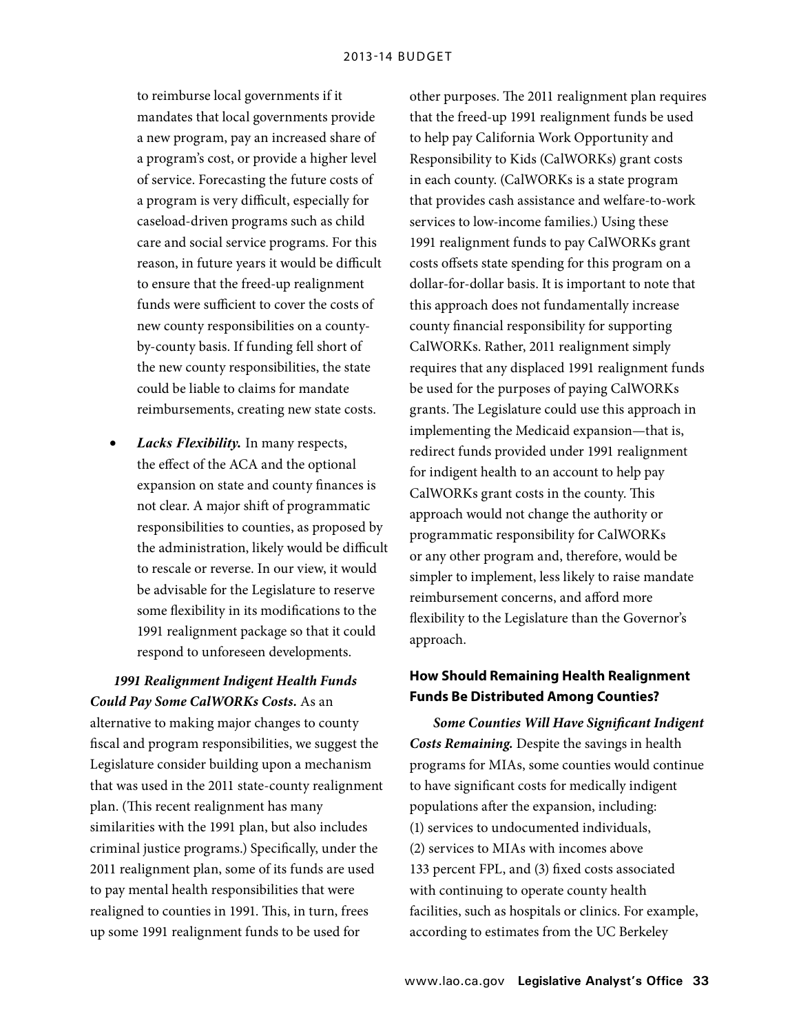to reimburse local governments if it mandates that local governments provide a new program, pay an increased share of a program's cost, or provide a higher level of service. Forecasting the future costs of a program is very difficult, especially for caseload-driven programs such as child care and social service programs. For this reason, in future years it would be difficult to ensure that the freed-up realignment funds were sufficient to cover the costs of new county responsibilities on a countyby-county basis. If funding fell short of the new county responsibilities, the state could be liable to claims for mandate reimbursements, creating new state costs.

*Lacks Flexibility.* In many respects, the effect of the ACA and the optional expansion on state and county finances is not clear. A major shift of programmatic responsibilities to counties, as proposed by the administration, likely would be difficult to rescale or reverse. In our view, it would be advisable for the Legislature to reserve some flexibility in its modifications to the 1991 realignment package so that it could respond to unforeseen developments.

*1991 Realignment Indigent Health Funds Could Pay Some CalWORKs Costs.* As an alternative to making major changes to county fiscal and program responsibilities, we suggest the Legislature consider building upon a mechanism that was used in the 2011 state-county realignment plan. (This recent realignment has many similarities with the 1991 plan, but also includes criminal justice programs.) Specifically, under the 2011 realignment plan, some of its funds are used to pay mental health responsibilities that were realigned to counties in 1991. This, in turn, frees up some 1991 realignment funds to be used for

other purposes. The 2011 realignment plan requires that the freed-up 1991 realignment funds be used to help pay California Work Opportunity and Responsibility to Kids (CalWORKs) grant costs in each county. (CalWORKs is a state program that provides cash assistance and welfare-to-work services to low-income families.) Using these 1991 realignment funds to pay CalWORKs grant costs offsets state spending for this program on a dollar-for-dollar basis. It is important to note that this approach does not fundamentally increase county financial responsibility for supporting CalWORKs. Rather, 2011 realignment simply requires that any displaced 1991 realignment funds be used for the purposes of paying CalWORKs grants. The Legislature could use this approach in implementing the Medicaid expansion—that is, redirect funds provided under 1991 realignment for indigent health to an account to help pay CalWORKs grant costs in the county. This approach would not change the authority or programmatic responsibility for CalWORKs or any other program and, therefore, would be simpler to implement, less likely to raise mandate reimbursement concerns, and afford more flexibility to the Legislature than the Governor's approach.

### **How Should Remaining Health Realignment Funds Be Distributed Among Counties?**

*Some Counties Will Have Significant Indigent Costs Remaining.* Despite the savings in health programs for MIAs, some counties would continue to have significant costs for medically indigent populations after the expansion, including: (1) services to undocumented individuals, (2) services to MIAs with incomes above 133 percent FPL, and (3) fixed costs associated with continuing to operate county health facilities, such as hospitals or clinics. For example, according to estimates from the UC Berkeley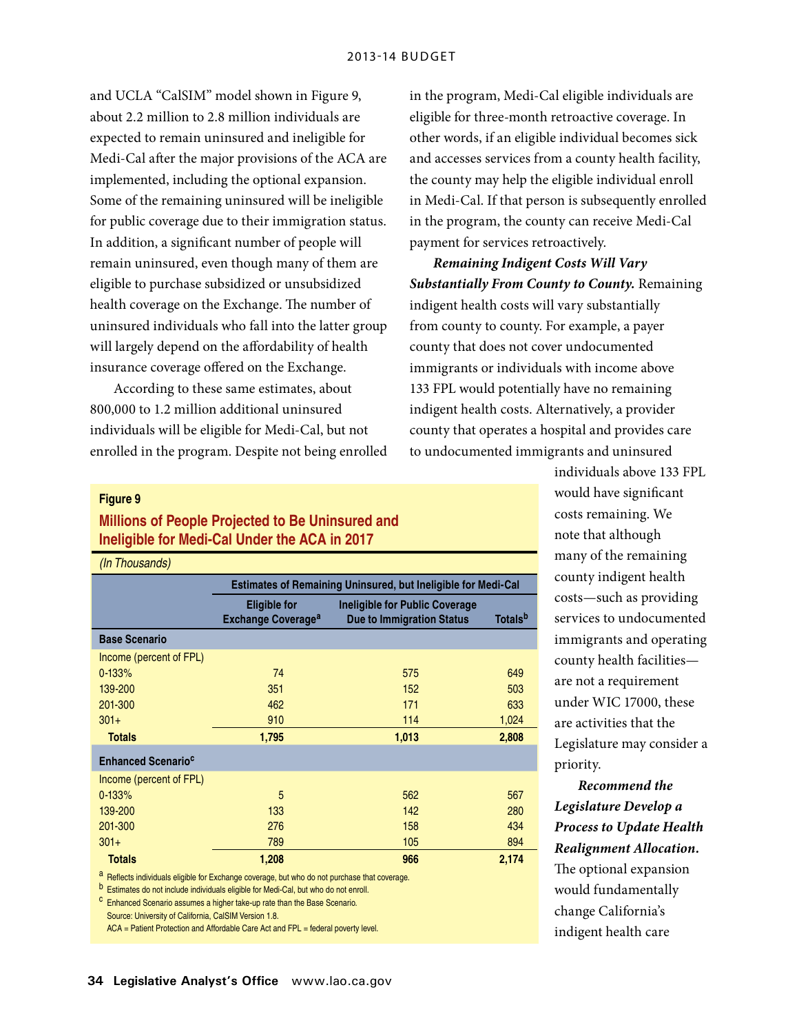and UCLA "CalSIM" model shown in Figure 9, about 2.2 million to 2.8 million individuals are expected to remain uninsured and ineligible for Medi-Cal after the major provisions of the ACA are implemented, including the optional expansion. Some of the remaining uninsured will be ineligible for public coverage due to their immigration status. In addition, a significant number of people will remain uninsured, even though many of them are eligible to purchase subsidized or unsubsidized health coverage on the Exchange. The number of uninsured individuals who fall into the latter group will largely depend on the affordability of health insurance coverage offered on the Exchange.

According to these same estimates, about 800,000 to 1.2 million additional uninsured individuals will be eligible for Medi-Cal, but not enrolled in the program. Despite not being enrolled in the program, Medi-Cal eligible individuals are eligible for three-month retroactive coverage. In other words, if an eligible individual becomes sick and accesses services from a county health facility, the county may help the eligible individual enroll in Medi-Cal. If that person is subsequently enrolled in the program, the county can receive Medi-Cal payment for services retroactively.

*Remaining Indigent Costs Will Vary Substantially From County to County.* Remaining indigent health costs will vary substantially from county to county. For example, a payer county that does not cover undocumented immigrants or individuals with income above 133 FPL would potentially have no remaining indigent health costs. Alternatively, a provider county that operates a hospital and provides care to undocumented immigrants and uninsured

#### **Figure 9**

## **Millions of People Projected to Be Uninsured and Ineligible for Medi-Cal Under the ACA in 2017**

| (In Thousands)                                                                                                                                                                                   |                                                               |                                                                           |                     |  |  |
|--------------------------------------------------------------------------------------------------------------------------------------------------------------------------------------------------|---------------------------------------------------------------|---------------------------------------------------------------------------|---------------------|--|--|
|                                                                                                                                                                                                  | Estimates of Remaining Uninsured, but Ineligible for Medi-Cal |                                                                           |                     |  |  |
|                                                                                                                                                                                                  | <b>Eligible for</b><br><b>Exchange Coverage<sup>a</sup></b>   | <b>Ineligible for Public Coverage</b><br><b>Due to Immigration Status</b> | Totals <sup>b</sup> |  |  |
| <b>Base Scenario</b>                                                                                                                                                                             |                                                               |                                                                           |                     |  |  |
| Income (percent of FPL)                                                                                                                                                                          |                                                               |                                                                           |                     |  |  |
| $0-133%$                                                                                                                                                                                         | 74                                                            | 575                                                                       | 649                 |  |  |
| 139-200                                                                                                                                                                                          | 351                                                           | 152                                                                       | 503                 |  |  |
| 201-300                                                                                                                                                                                          | 462                                                           | 171                                                                       | 633                 |  |  |
| $301+$                                                                                                                                                                                           | 910                                                           | 114                                                                       | 1,024               |  |  |
| <b>Totals</b>                                                                                                                                                                                    | 1,795                                                         | 1,013                                                                     | 2,808               |  |  |
| <b>Enhanced Scenario<sup>c</sup></b>                                                                                                                                                             |                                                               |                                                                           |                     |  |  |
| Income (percent of FPL)                                                                                                                                                                          |                                                               |                                                                           |                     |  |  |
| $0-133%$                                                                                                                                                                                         | 5                                                             | 562                                                                       | 567                 |  |  |
| 139-200                                                                                                                                                                                          | 133                                                           | 142                                                                       | 280                 |  |  |
| 201-300                                                                                                                                                                                          | 276                                                           | 158                                                                       | 434                 |  |  |
| $301+$                                                                                                                                                                                           | 789                                                           | 105                                                                       | 894                 |  |  |
| <b>Totals</b>                                                                                                                                                                                    | 1,208                                                         | 966                                                                       | 2,174               |  |  |
| a Reflects individuals eligible for Exchange coverage, but who do not purchase that coverage.<br><sup>b</sup> Estimates do not include individuals eligible for Medi-Cal, but who do not enroll. |                                                               |                                                                           |                     |  |  |

individuals above 133 FPL would have significant costs remaining. We note that although many of the remaining county indigent health costs—such as providing services to undocumented immigrants and operating county health facilities are not a requirement under WIC 17000, these are activities that the Legislature may consider a priority.

*Recommend the Legislature Develop a Process to Update Health Realignment Allocation.*  The optional expansion would fundamentally change California's indigent health care

ACA = Patient Protection and Affordable Care Act and FPL = federal poverty level.

<sup>C</sup> Enhanced Scenario assumes a higher take-up rate than the Base Scenario.

Source: University of California, CalSIM Version 1.8.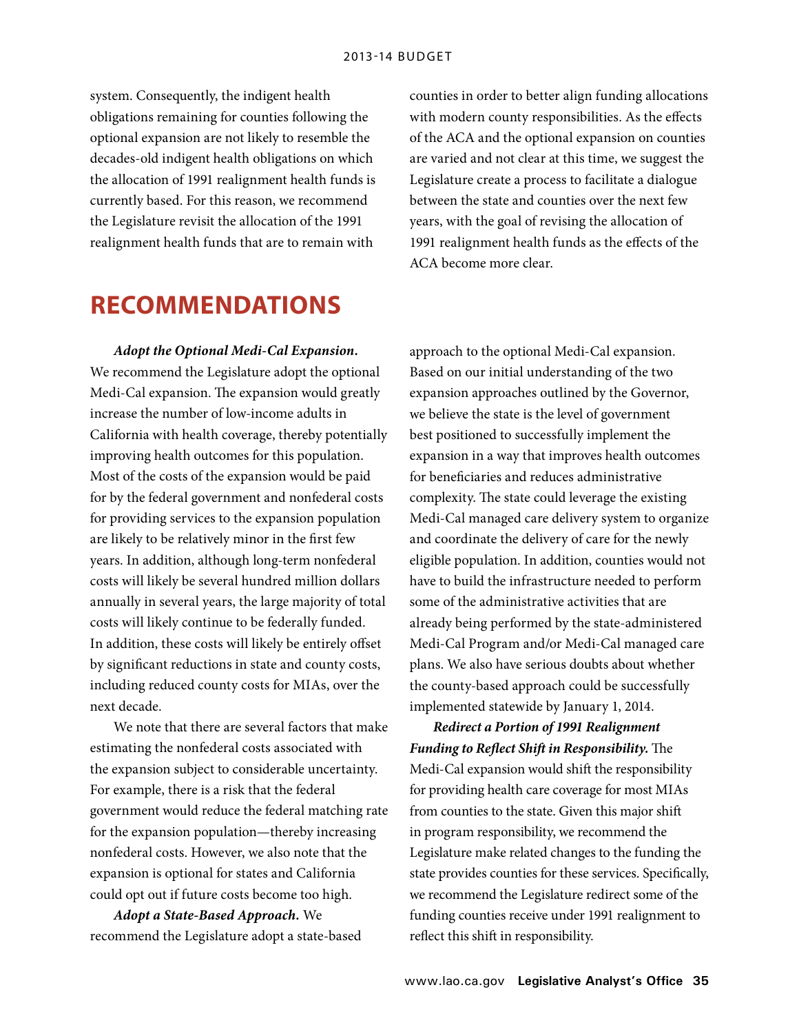system. Consequently, the indigent health obligations remaining for counties following the optional expansion are not likely to resemble the decades-old indigent health obligations on which the allocation of 1991 realignment health funds is currently based. For this reason, we recommend the Legislature revisit the allocation of the 1991 realignment health funds that are to remain with

# **RECOMMENDATIONS**

*Adopt the Optional Medi-Cal Expansion.* We recommend the Legislature adopt the optional Medi-Cal expansion. The expansion would greatly increase the number of low-income adults in California with health coverage, thereby potentially improving health outcomes for this population. Most of the costs of the expansion would be paid for by the federal government and nonfederal costs for providing services to the expansion population are likely to be relatively minor in the first few years. In addition, although long-term nonfederal costs will likely be several hundred million dollars annually in several years, the large majority of total costs will likely continue to be federally funded. In addition, these costs will likely be entirely offset by significant reductions in state and county costs, including reduced county costs for MIAs, over the next decade.

We note that there are several factors that make estimating the nonfederal costs associated with the expansion subject to considerable uncertainty. For example, there is a risk that the federal government would reduce the federal matching rate for the expansion population—thereby increasing nonfederal costs. However, we also note that the expansion is optional for states and California could opt out if future costs become too high.

*Adopt a State-Based Approach.* We recommend the Legislature adopt a state-based counties in order to better align funding allocations with modern county responsibilities. As the effects of the ACA and the optional expansion on counties are varied and not clear at this time, we suggest the Legislature create a process to facilitate a dialogue between the state and counties over the next few years, with the goal of revising the allocation of 1991 realignment health funds as the effects of the ACA become more clear.

approach to the optional Medi-Cal expansion. Based on our initial understanding of the two expansion approaches outlined by the Governor, we believe the state is the level of government best positioned to successfully implement the expansion in a way that improves health outcomes for beneficiaries and reduces administrative complexity. The state could leverage the existing Medi-Cal managed care delivery system to organize and coordinate the delivery of care for the newly eligible population. In addition, counties would not have to build the infrastructure needed to perform some of the administrative activities that are already being performed by the state-administered Medi-Cal Program and/or Medi-Cal managed care plans. We also have serious doubts about whether the county-based approach could be successfully implemented statewide by January 1, 2014.

*Redirect a Portion of 1991 Realignment Funding to Reflect Shift in Responsibility.* The Medi-Cal expansion would shift the responsibility for providing health care coverage for most MIAs from counties to the state. Given this major shift in program responsibility, we recommend the Legislature make related changes to the funding the state provides counties for these services. Specifically, we recommend the Legislature redirect some of the funding counties receive under 1991 realignment to reflect this shift in responsibility.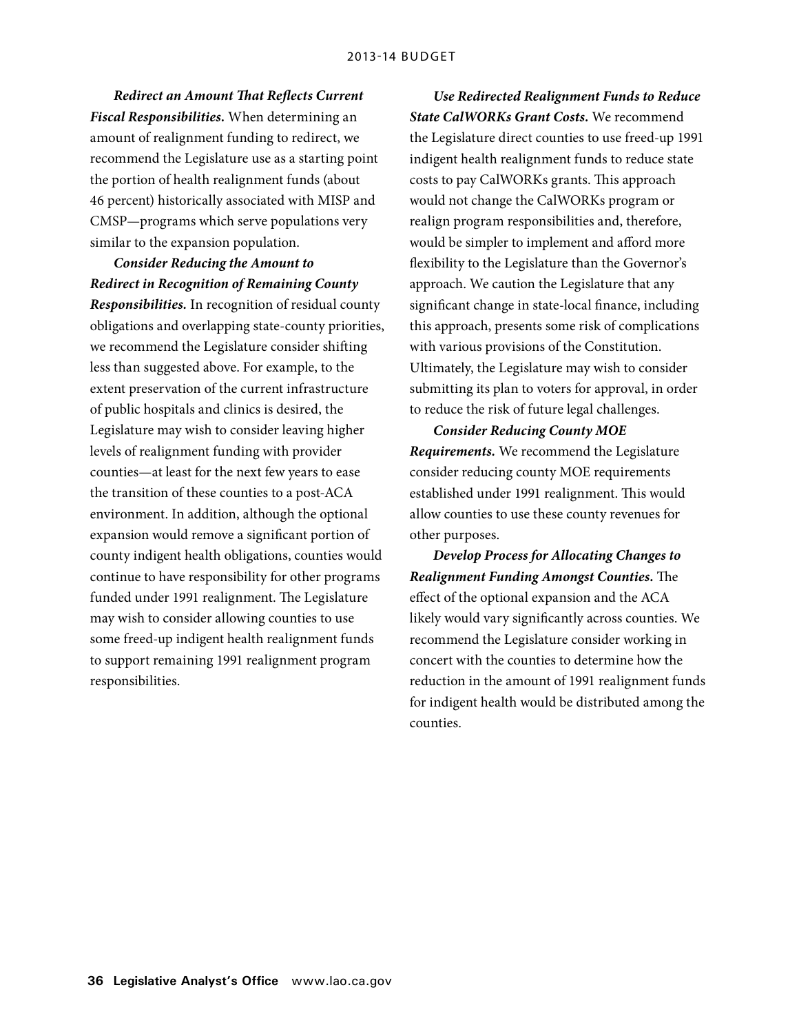*Redirect an Amount That Reflects Current Fiscal Responsibilities.* When determining an amount of realignment funding to redirect, we recommend the Legislature use as a starting point the portion of health realignment funds (about 46 percent) historically associated with MISP and CMSP—programs which serve populations very similar to the expansion population.

*Consider Reducing the Amount to Redirect in Recognition of Remaining County Responsibilities.* In recognition of residual county obligations and overlapping state-county priorities, we recommend the Legislature consider shifting less than suggested above. For example, to the extent preservation of the current infrastructure of public hospitals and clinics is desired, the Legislature may wish to consider leaving higher levels of realignment funding with provider counties—at least for the next few years to ease the transition of these counties to a post-ACA environment. In addition, although the optional expansion would remove a significant portion of county indigent health obligations, counties would continue to have responsibility for other programs funded under 1991 realignment. The Legislature may wish to consider allowing counties to use some freed-up indigent health realignment funds to support remaining 1991 realignment program responsibilities.

*Use Redirected Realignment Funds to Reduce State CalWORKs Grant Costs.* We recommend the Legislature direct counties to use freed-up 1991 indigent health realignment funds to reduce state costs to pay CalWORKs grants. This approach would not change the CalWORKs program or realign program responsibilities and, therefore, would be simpler to implement and afford more flexibility to the Legislature than the Governor's approach. We caution the Legislature that any significant change in state-local finance, including this approach, presents some risk of complications with various provisions of the Constitution. Ultimately, the Legislature may wish to consider submitting its plan to voters for approval, in order to reduce the risk of future legal challenges.

*Consider Reducing County MOE Requirements.* We recommend the Legislature consider reducing county MOE requirements established under 1991 realignment. This would allow counties to use these county revenues for other purposes.

*Develop Process for Allocating Changes to Realignment Funding Amongst Counties.* The effect of the optional expansion and the ACA likely would vary significantly across counties. We recommend the Legislature consider working in concert with the counties to determine how the reduction in the amount of 1991 realignment funds for indigent health would be distributed among the counties.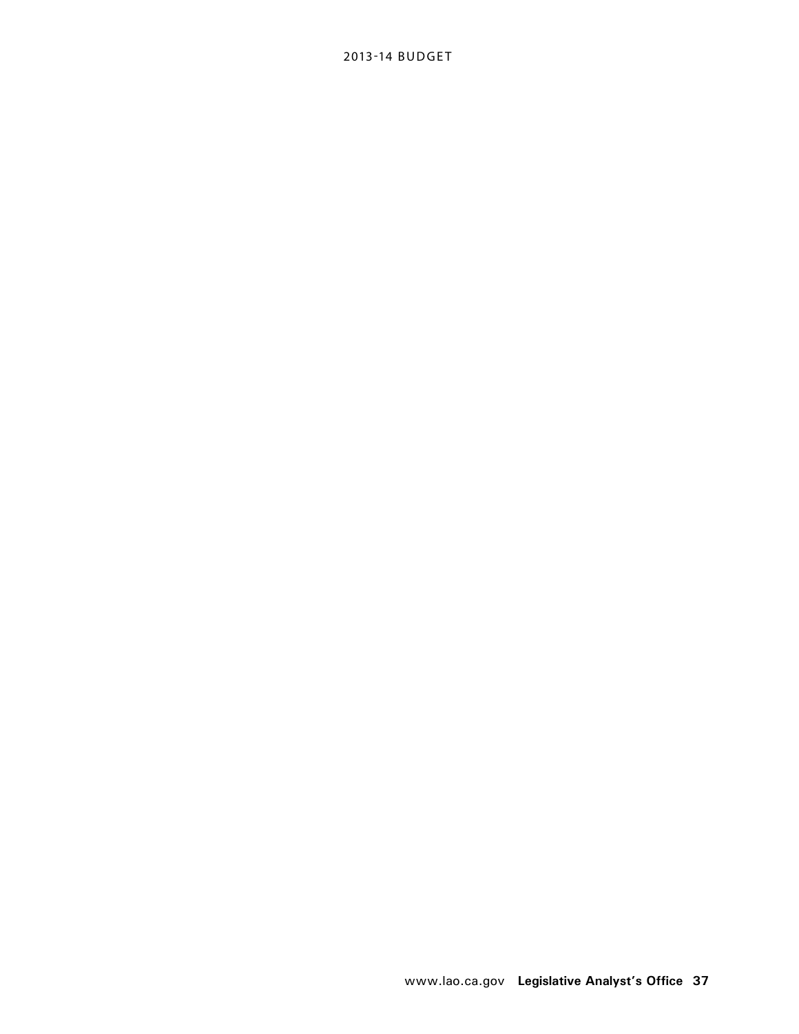#### 2013-14 BUDGET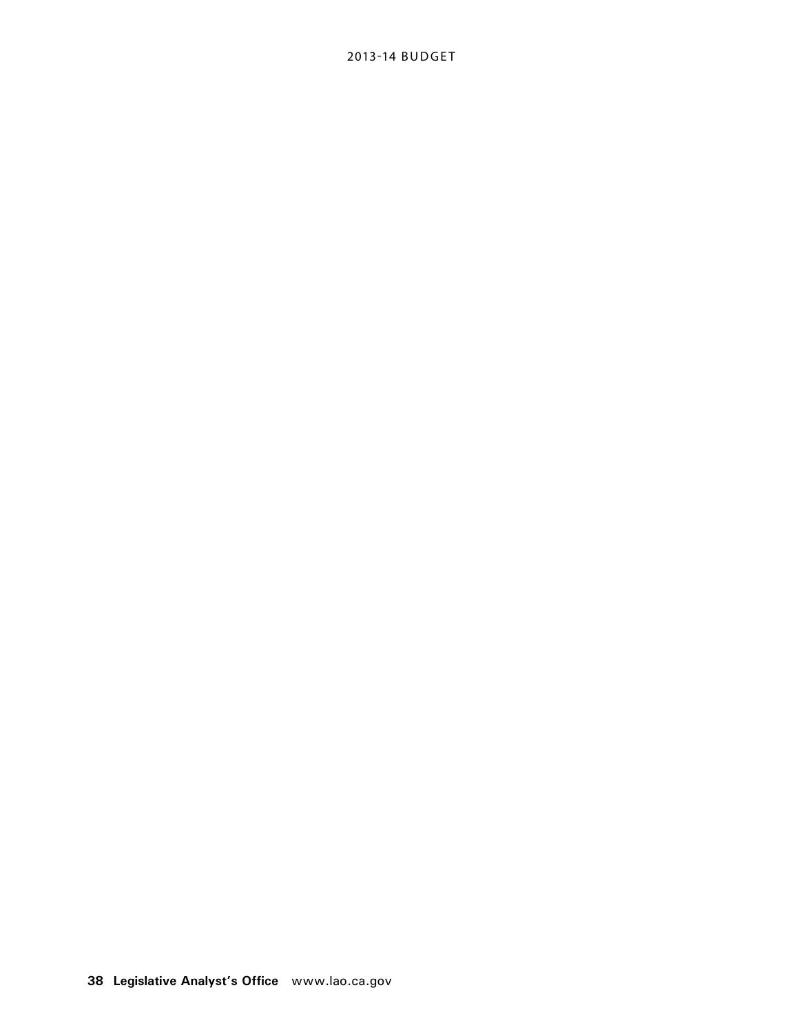#### 2013-14 BUDGET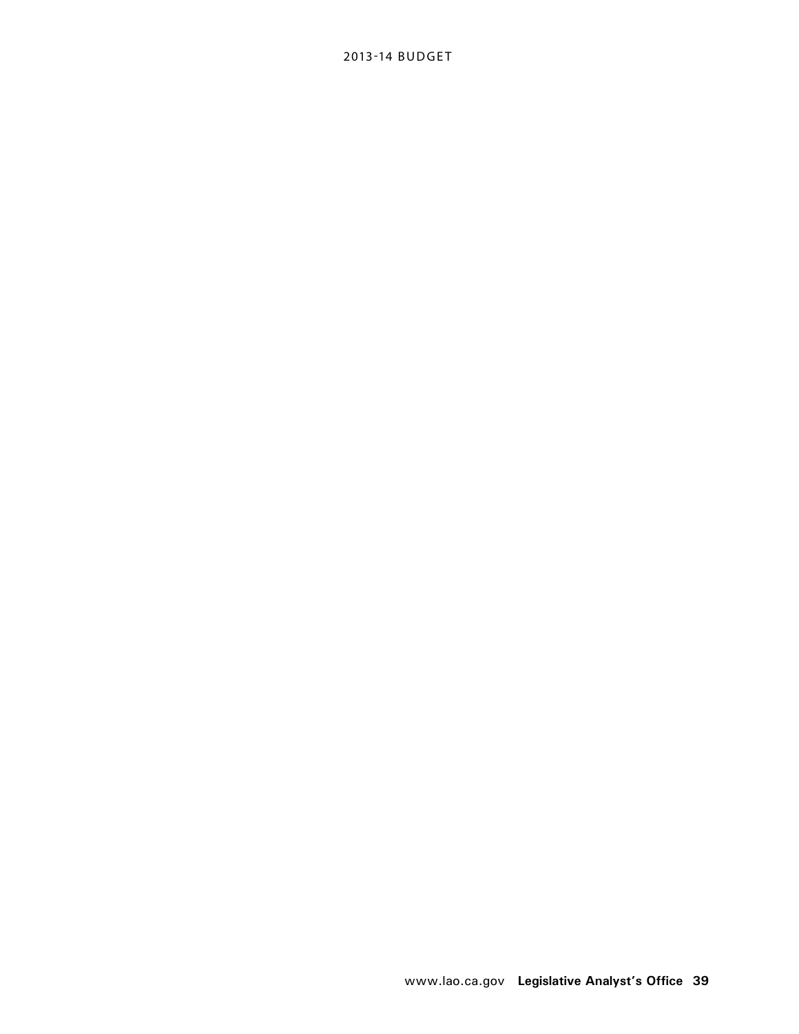#### 2013-14 BUDGET